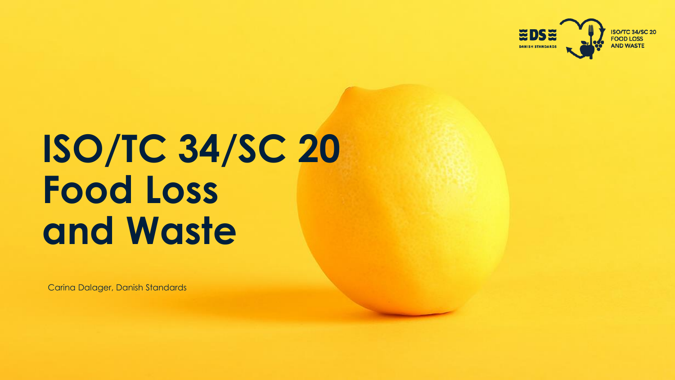

# **ISO/TC 34/SC 20 Food Loss and Waste**

Carina Dalager, Danish Standards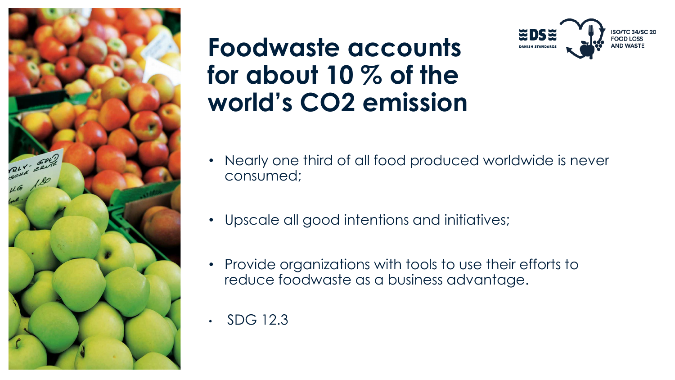

### **Foodwaste accounts for about 10 % of the world's CO2 emission**



- Nearly one third of all food produced worldwide is never consumed;
- Upscale all good intentions and initiatives;
- Provide organizations with tools to use their efforts to reduce foodwaste as a business advantage.
- SDG 12.3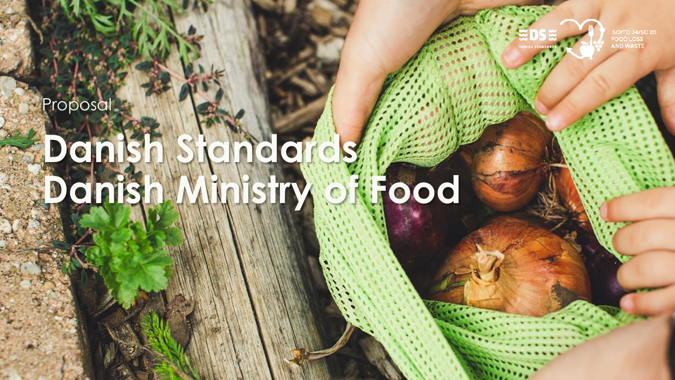**Proposal** 



ISO/TC 34/SC 20<br>FOOD LOSS<br>AND WASTE

# **Danish Standards Danish Ministry of Food**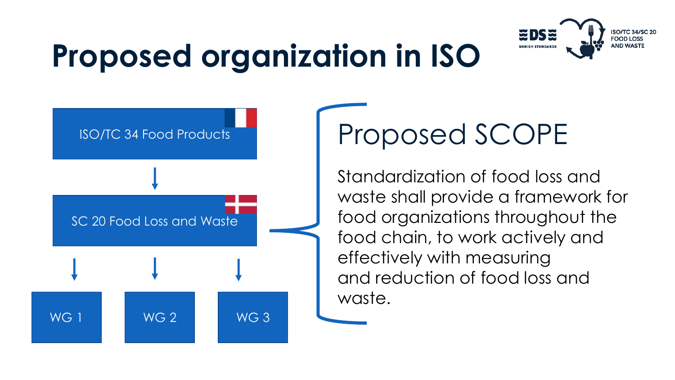

## **Proposed organization in ISO**



## Proposed SCOPE

Standardization of food loss and waste shall provide a framework for food organizations throughout the food chain, to work actively and effectively with measuring and reduction of food loss and waste.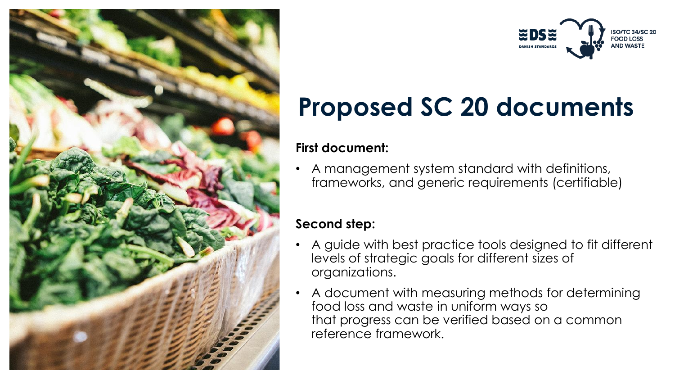



## **Proposed SC 20 documents**

#### **First document:**

• A management system standard with definitions, frameworks, and generic requirements (certifiable)

#### **Second step:**

- A guide with best practice tools designed to fit different levels of strategic goals for different sizes of organizations.
- A document with measuring methods for determining food loss and waste in uniform ways so that progress can be verified based on a common reference framework.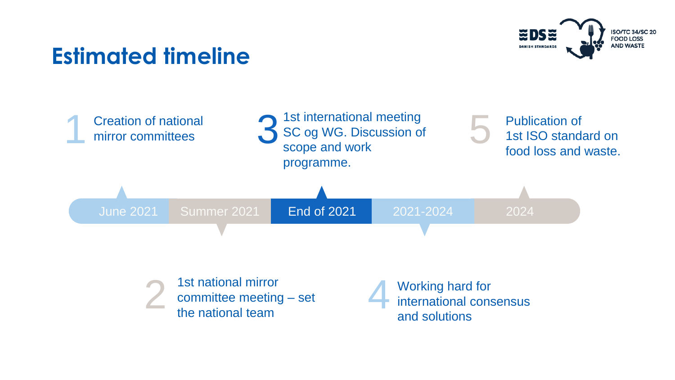### **Estimated timeline**





1st national mirror committee meeting – set<br>the national team